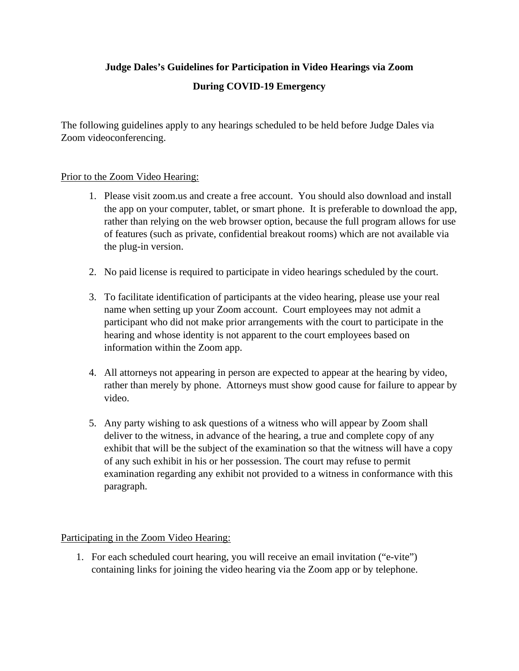## **Judge Dales's Guidelines for Participation in Video Hearings via Zoom**

## **During COVID-19 Emergency**

The following guidelines apply to any hearings scheduled to be held before Judge Dales via Zoom videoconferencing.

## Prior to the Zoom Video Hearing:

- 1. Please visit zoom.us and create a free account. You should also download and install the app on your computer, tablet, or smart phone. It is preferable to download the app, rather than relying on the web browser option, because the full program allows for use of features (such as private, confidential breakout rooms) which are not available via the plug-in version.
- 2. No paid license is required to participate in video hearings scheduled by the court.
- 3. To facilitate identification of participants at the video hearing, please use your real name when setting up your Zoom account. Court employees may not admit a participant who did not make prior arrangements with the court to participate in the hearing and whose identity is not apparent to the court employees based on information within the Zoom app.
- 4. All attorneys not appearing in person are expected to appear at the hearing by video, rather than merely by phone. Attorneys must show good cause for failure to appear by video.
- 5. Any party wishing to ask questions of a witness who will appear by Zoom shall deliver to the witness, in advance of the hearing, a true and complete copy of any exhibit that will be the subject of the examination so that the witness will have a copy of any such exhibit in his or her possession. The court may refuse to permit examination regarding any exhibit not provided to a witness in conformance with this paragraph.

## Participating in the Zoom Video Hearing:

1. For each scheduled court hearing, you will receive an email invitation ("e-vite") containing links for joining the video hearing via the Zoom app or by telephone.